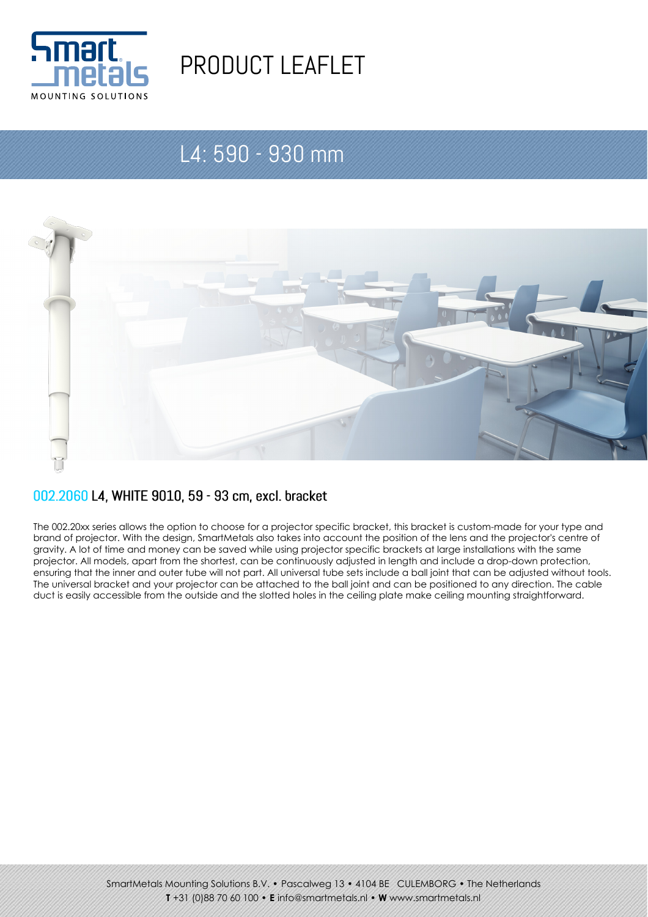

# PRODUCT LEAFLET

## L4: 590 - 930 mm



#### 002.2060 L4, WHITE 9010, 59 - 93 cm, excl. bracket

The 002.20xx series allows the option to choose for a projector specific bracket, this bracket is custom-made for your type and brand of projector. With the design, SmartMetals also takes into account the position of the lens and the projector's centre of gravity. A lot of time and money can be saved while using projector specific brackets at large installations with the same projector. All models, apart from the shortest, can be continuously adjusted in length and include a drop-down protection, ensuring that the inner and outer tube will not part. All universal tube sets include a ball joint that can be adjusted without tools. The universal bracket and your projector can be attached to the ball joint and can be positioned to any direction. The cable duct is easily accessible from the outside and the slotted holes in the ceiling plate make ceiling mounting straightforward.